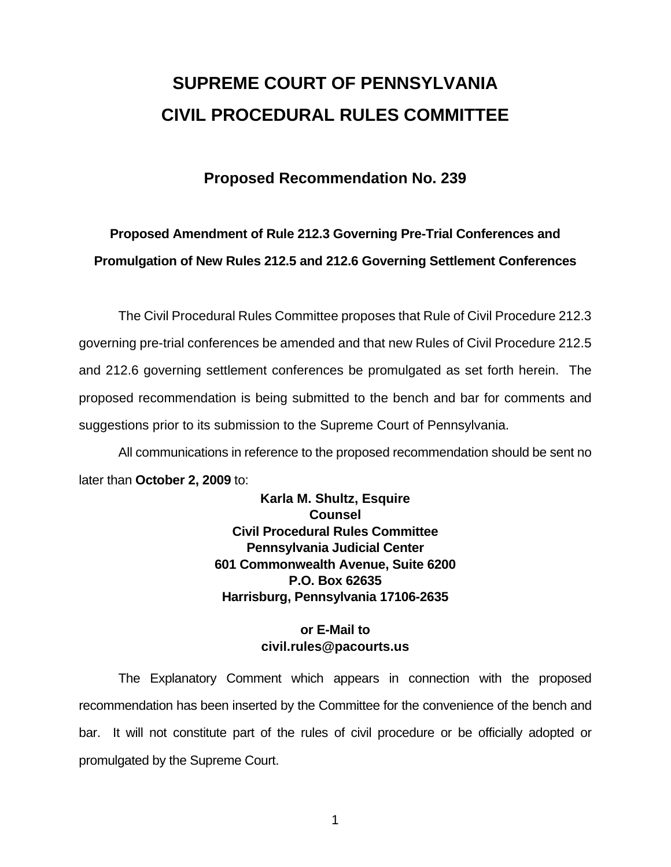# **SUPREME COURT OF PENNSYLVANIA CIVIL PROCEDURAL RULES COMMITTEE**

# **Proposed Recommendation No. 239**

# **Proposed Amendment of Rule 212.3 Governing Pre-Trial Conferences and Promulgation of New Rules 212.5 and 212.6 Governing Settlement Conferences**

 The Civil Procedural Rules Committee proposes that Rule of Civil Procedure 212.3 governing pre-trial conferences be amended and that new Rules of Civil Procedure 212.5 and 212.6 governing settlement conferences be promulgated as set forth herein. The proposed recommendation is being submitted to the bench and bar for comments and suggestions prior to its submission to the Supreme Court of Pennsylvania.

 All communications in reference to the proposed recommendation should be sent no later than **October 2, 2009** to:

> **Karla M. Shultz, Esquire Counsel Civil Procedural Rules Committee Pennsylvania Judicial Center 601 Commonwealth Avenue, Suite 6200 P.O. Box 62635 Harrisburg, Pennsylvania 17106-2635**

## **or E-Mail to civil.rules@pacourts.us**

 The Explanatory Comment which appears in connection with the proposed recommendation has been inserted by the Committee for the convenience of the bench and bar. It will not constitute part of the rules of civil procedure or be officially adopted or promulgated by the Supreme Court.

1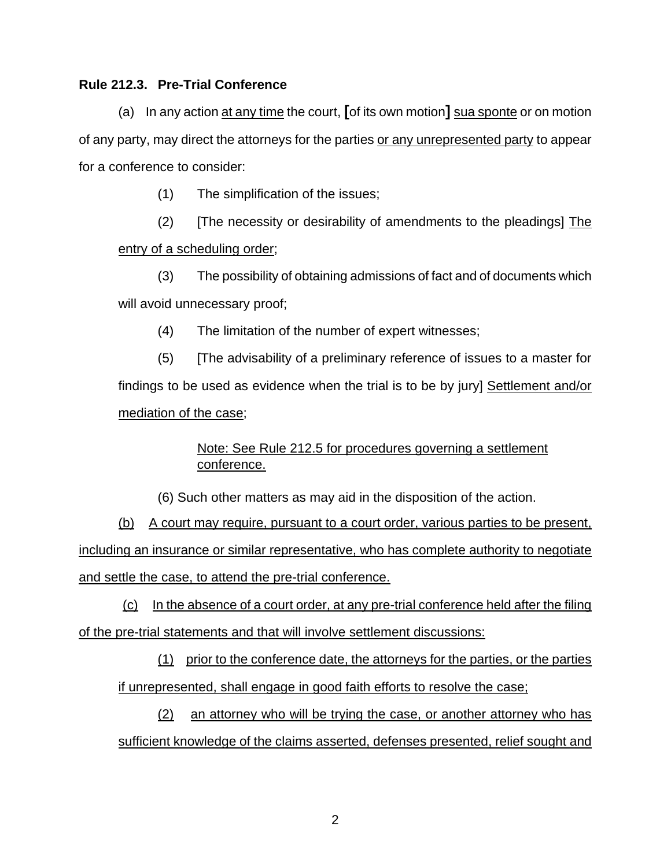#### **Rule 212.3. Pre-Trial Conference**

(a) In any action at any time the court, **[**of its own motion**]** sua sponte or on motion of any party, may direct the attorneys for the parties or any unrepresented party to appear for a conference to consider:

(1) The simplification of the issues;

(2) [The necessity or desirability of amendments to the pleadings] The entry of a scheduling order;

(3) The possibility of obtaining admissions of fact and of documents which will avoid unnecessary proof;

(4) The limitation of the number of expert witnesses;

(5) [The advisability of a preliminary reference of issues to a master for findings to be used as evidence when the trial is to be by jury] Settlement and/or mediation of the case;

> Note: See Rule 212.5 for procedures governing a settlement conference.

(6) Such other matters as may aid in the disposition of the action.

(b) A court may require, pursuant to a court order, various parties to be present, including an insurance or similar representative, who has complete authority to negotiate and settle the case, to attend the pre-trial conference.

 (c) In the absence of a court order, at any pre-trial conference held after the filing of the pre-trial statements and that will involve settlement discussions:

(1) prior to the conference date, the attorneys for the parties, or the parties if unrepresented, shall engage in good faith efforts to resolve the case;

(2) an attorney who will be trying the case, or another attorney who has sufficient knowledge of the claims asserted, defenses presented, relief sought and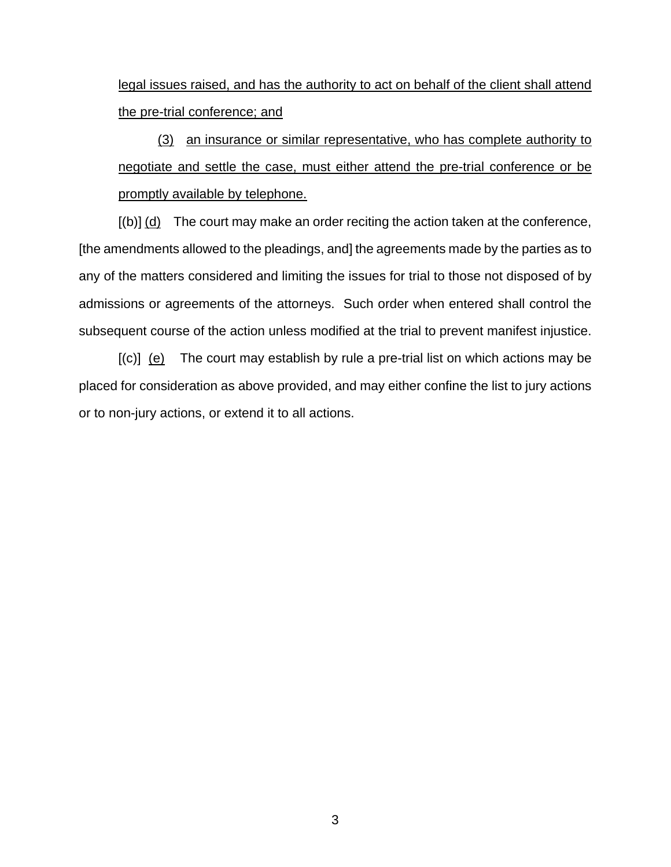legal issues raised, and has the authority to act on behalf of the client shall attend the pre-trial conference; and

(3) an insurance or similar representative, who has complete authority to negotiate and settle the case, must either attend the pre-trial conference or be promptly available by telephone.

 [(b)] (d) The court may make an order reciting the action taken at the conference, [the amendments allowed to the pleadings, and] the agreements made by the parties as to any of the matters considered and limiting the issues for trial to those not disposed of by admissions or agreements of the attorneys. Such order when entered shall control the subsequent course of the action unless modified at the trial to prevent manifest injustice.

 $[(c)]$  (e) The court may establish by rule a pre-trial list on which actions may be placed for consideration as above provided, and may either confine the list to jury actions or to non-jury actions, or extend it to all actions.

3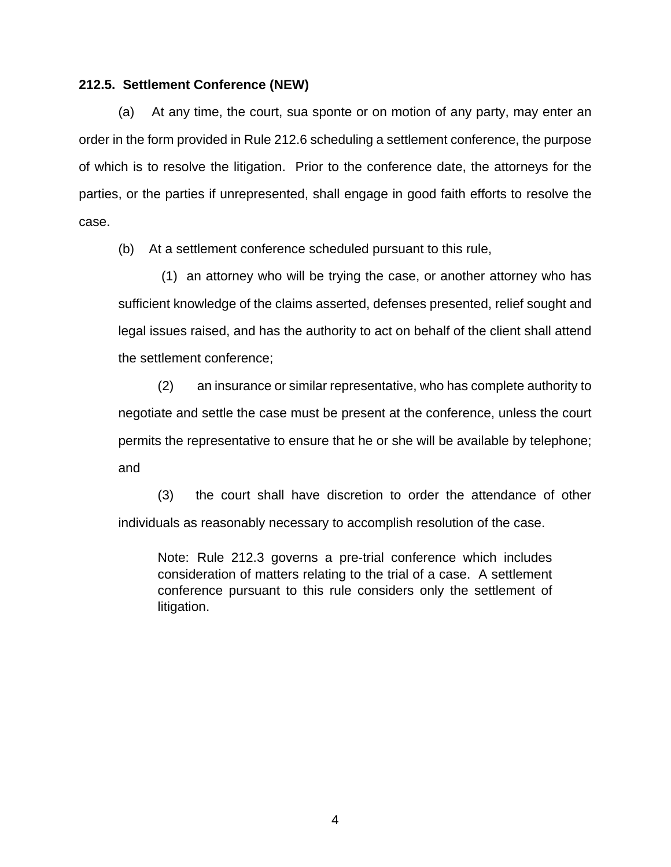#### **212.5. Settlement Conference (NEW)**

(a) At any time, the court, sua sponte or on motion of any party, may enter an order in the form provided in Rule 212.6 scheduling a settlement conference, the purpose of which is to resolve the litigation. Prior to the conference date, the attorneys for the parties, or the parties if unrepresented, shall engage in good faith efforts to resolve the case.

(b) At a settlement conference scheduled pursuant to this rule,

 (1) an attorney who will be trying the case, or another attorney who has sufficient knowledge of the claims asserted, defenses presented, relief sought and legal issues raised, and has the authority to act on behalf of the client shall attend the settlement conference;

(2) an insurance or similar representative, who has complete authority to negotiate and settle the case must be present at the conference, unless the court permits the representative to ensure that he or she will be available by telephone; and

(3) the court shall have discretion to order the attendance of other individuals as reasonably necessary to accomplish resolution of the case.

Note: Rule 212.3 governs a pre-trial conference which includes consideration of matters relating to the trial of a case. A settlement conference pursuant to this rule considers only the settlement of litigation.

4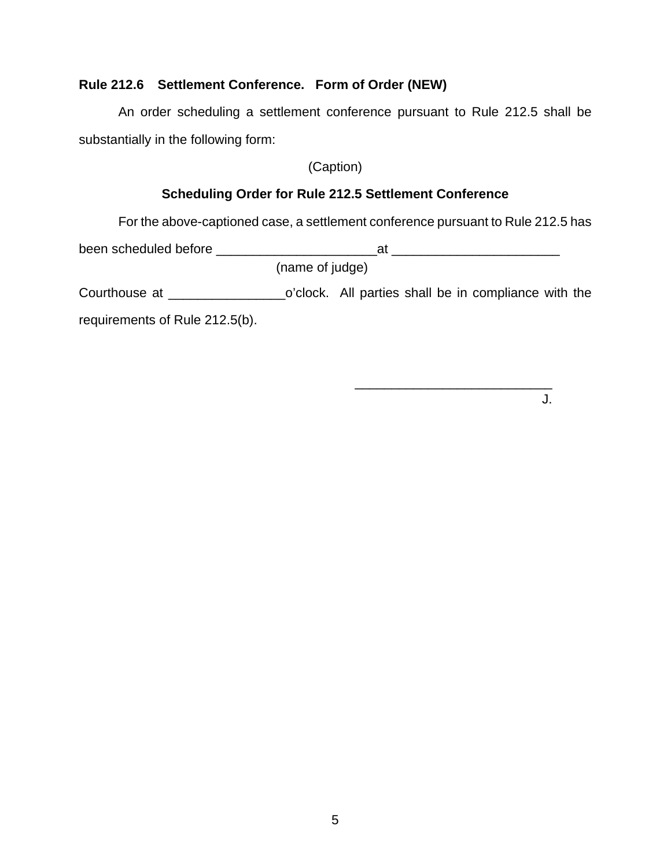## **Rule 212.6 Settlement Conference. Form of Order (NEW)**

An order scheduling a settlement conference pursuant to Rule 212.5 shall be substantially in the following form:

(Caption)

# **Scheduling Order for Rule 212.5 Settlement Conference**

For the above-captioned case, a settlement conference pursuant to Rule 212.5 has

been scheduled before \_\_\_\_\_\_\_\_\_\_\_\_\_\_\_\_\_\_\_\_\_\_at \_\_\_\_\_\_\_\_\_\_\_\_\_\_\_\_\_\_\_\_\_\_\_ (name of judge) Courthouse at \_\_\_\_\_\_\_\_\_\_\_\_\_\_\_\_o'clock. All parties shall be in compliance with the requirements of Rule 212.5(b).

 $\overline{\phantom{a}}$  , and the contract of the contract of the contract of the contract of the contract of the contract of the contract of the contract of the contract of the contract of the contract of the contract of the contrac

J.